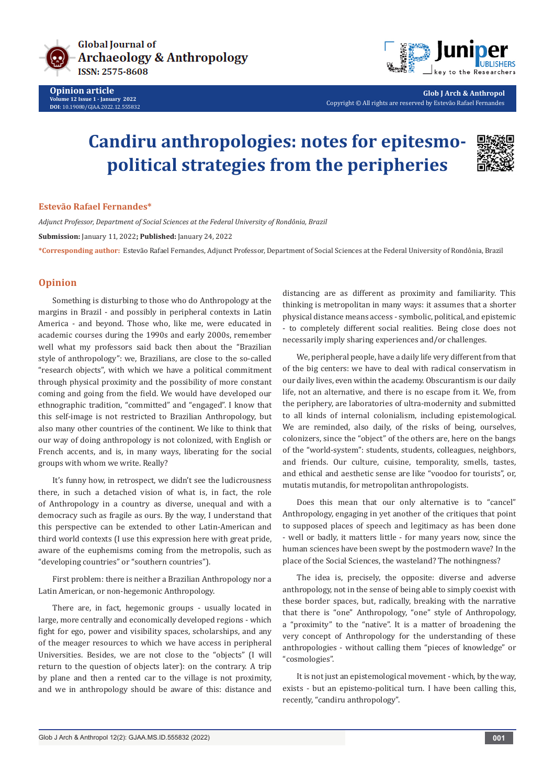



**Glob J Arch & Anthropol** Copyright © All rights are reserved by Estevão Rafael Fernandes

## **Candiru anthropologies: notes for epitesmopolitical strategies from the peripheries**



## **Estevão Rafael Fernandes\***

*Adjunct Professor, Department of Social Sciences at the Federal University of Rondônia, Brazil*  **Submission:** January 11, 2022**; Published:** January 24, 2022

**\*Corresponding author:** Estevão Rafael Fernandes, Adjunct Professor, Department of Social Sciences at the Federal University of Rondônia, Brazil

## **Opinion**

Something is disturbing to those who do Anthropology at the margins in Brazil - and possibly in peripheral contexts in Latin America - and beyond. Those who, like me, were educated in academic courses during the 1990s and early 2000s, remember well what my professors said back then about the "Brazilian style of anthropology": we, Brazilians, are close to the so-called "research objects", with which we have a political commitment through physical proximity and the possibility of more constant coming and going from the field. We would have developed our ethnographic tradition, "committed" and "engaged". I know that this self-image is not restricted to Brazilian Anthropology, but also many other countries of the continent. We like to think that our way of doing anthropology is not colonized, with English or French accents, and is, in many ways, liberating for the social groups with whom we write. Really?

It's funny how, in retrospect, we didn't see the ludicrousness there, in such a detached vision of what is, in fact, the role of Anthropology in a country as diverse, unequal and with a democracy such as fragile as ours. By the way, I understand that this perspective can be extended to other Latin-American and third world contexts (I use this expression here with great pride, aware of the euphemisms coming from the metropolis, such as "developing countries" or "southern countries").

First problem: there is neither a Brazilian Anthropology nor a Latin American, or non-hegemonic Anthropology.

There are, in fact, hegemonic groups - usually located in large, more centrally and economically developed regions - which fight for ego, power and visibility spaces, scholarships, and any of the meager resources to which we have access in peripheral Universities. Besides, we are not close to the "objects" (I will return to the question of objects later): on the contrary. A trip by plane and then a rented car to the village is not proximity, and we in anthropology should be aware of this: distance and distancing are as different as proximity and familiarity. This thinking is metropolitan in many ways: it assumes that a shorter physical distance means access - symbolic, political, and epistemic - to completely different social realities. Being close does not necessarily imply sharing experiences and/or challenges.

We, peripheral people, have a daily life very different from that of the big centers: we have to deal with radical conservatism in our daily lives, even within the academy. Obscurantism is our daily life, not an alternative, and there is no escape from it. We, from the periphery, are laboratories of ultra-modernity and submitted to all kinds of internal colonialism, including epistemological. We are reminded, also daily, of the risks of being, ourselves, colonizers, since the "object" of the others are, here on the bangs of the "world-system": students, students, colleagues, neighbors, and friends. Our culture, cuisine, temporality, smells, tastes, and ethical and aesthetic sense are like "voodoo for tourists", or, mutatis mutandis, for metropolitan anthropologists.

Does this mean that our only alternative is to "cancel" Anthropology, engaging in yet another of the critiques that point to supposed places of speech and legitimacy as has been done - well or badly, it matters little - for many years now, since the human sciences have been swept by the postmodern wave? In the place of the Social Sciences, the wasteland? The nothingness?

The idea is, precisely, the opposite: diverse and adverse anthropology, not in the sense of being able to simply coexist with these border spaces, but, radically, breaking with the narrative that there is "one" Anthropology, "one" style of Anthropology, a "proximity" to the "native". It is a matter of broadening the very concept of Anthropology for the understanding of these anthropologies - without calling them "pieces of knowledge" or "cosmologies".

It is not just an epistemological movement - which, by the way, exists - but an epistemo-political turn. I have been calling this, recently, "candiru anthropology".